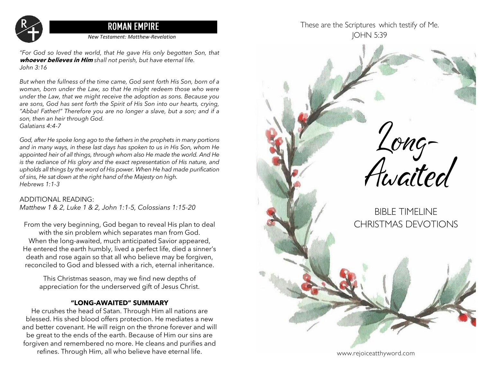

*New Testament: Matthew-Revelation*

*"For God so loved the world, that He gave His only begotten Son, that*  **whoever believes in Him** *shall not perish, but have eternal life. John 3:16*

*But when the fullness of the time came, God sent forth His Son, born of a woman, born under the Law, so that He might redeem those who were under the Law, that we might receive the adoption as sons. Because you are sons, God has sent forth the Spirit of His Son into our hearts, crying, "Abba! Father!" Therefore you are no longer a slave, but a son; and if a son, then an heir through God. Galatians 4:4-7*

*God, after He spoke long ago to the fathers in the prophets in many portions and in many ways, in these last days has spoken to us in His Son, whom He appointed heir of all things, through whom also He made the world. And He is the radiance of His glory and the exact representation of His nature, and upholds all things by the word of His power. When He had made purification of sins, He sat down at the right hand of the Majesty on high. Hebrews 1:1-3*

### ADDITIONAL READING:

*Matthew 1 & 2, Luke 1 & 2, John 1:1-5, Colossians 1:15-20*

From the very beginning, God began to reveal His plan to deal with the sin problem which separates man from God. When the long-awaited, much anticipated Savior appeared, He entered the earth humbly, lived a perfect life, died a sinner's death and rose again so that all who believe may be forgiven, reconciled to God and blessed with a rich, eternal inheritance.

This Christmas season, may we find new depths of appreciation for the underserved gift of Jesus Christ.

### **"LONG-AWAITED" SUMMARY**

He crushes the head of Satan. Through Him all nations are blessed. His shed blood offers protection. He mediates a new and better covenant. He will reign on the throne forever and will be great to the ends of the earth. Because of Him our sins are forgiven and remembered no more. He cleans and purifies and refines. Through Him, all who believe have eternal life.

These are the Scriptures which testify of Me. JOHN 5:39

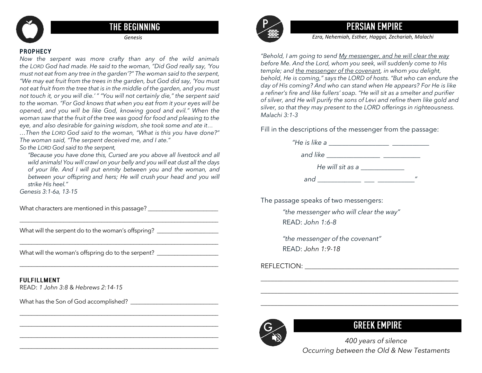

## **THE BEGINNING**

### **PROPHECY**

*Now the serpent was more crafty than any of the wild animals the LORD God had made. He said to the woman, "Did God really say, 'You must not eat from any tree in the garden'?" The woman said to the serpent, "We may eat fruit from the trees in the garden, but God did say, 'You must not eat fruit from the tree that is in the middle of the garden, and you must not touch it, or you will die.' " "You will not certainly die," the serpent said to the woman. "For God knows that when you eat from it your eyes will be opened, and you will be like God, knowing good and evil." When the woman saw that the fruit of the tree was good for food and pleasing to the eye, and also desirable for gaining wisdom, she took some and ate it…*

*…Then the LORD God said to the woman, "What is this you have done?" The woman said, "The serpent deceived me, and I ate."*

*So the LORD God said to the serpent,* 

*"Because you have done this, Cursed are you above all livestock and all wild animals! You will crawl on your belly and you will eat dust all the days of your life. And I will put enmity between you and the woman, and between your offspring and hers; He will crush your head and you will strike His heel."*

\_\_\_\_\_\_\_\_\_\_\_\_\_\_\_\_\_\_\_\_\_\_\_\_\_\_\_\_\_\_\_\_\_\_\_\_\_\_\_\_\_\_\_\_\_\_\_\_\_\_\_\_\_\_\_\_\_\_\_\_\_\_\_\_\_\_\_\_

\_\_\_\_\_\_\_\_\_\_\_\_\_\_\_\_\_\_\_\_\_\_\_\_\_\_\_\_\_\_\_\_\_\_\_\_\_\_\_\_\_\_\_\_\_\_\_\_\_\_\_\_\_\_\_\_\_\_\_\_\_\_\_\_\_\_\_\_

\_\_\_\_\_\_\_\_\_\_\_\_\_\_\_\_\_\_\_\_\_\_\_\_\_\_\_\_\_\_\_\_\_\_\_\_\_\_\_\_\_\_\_\_\_\_\_\_\_\_\_\_\_\_\_\_\_\_\_\_\_\_\_\_\_\_\_\_

\_\_\_\_\_\_\_\_\_\_\_\_\_\_\_\_\_\_\_\_\_\_\_\_\_\_\_\_\_\_\_\_\_\_\_\_\_\_\_\_\_\_\_\_\_\_\_\_\_\_\_\_\_\_\_\_\_\_\_\_\_\_\_\_\_\_\_\_

\_\_\_\_\_\_\_\_\_\_\_\_\_\_\_\_\_\_\_\_\_\_\_\_\_\_\_\_\_\_\_\_\_\_\_\_\_\_\_\_\_\_\_\_\_\_\_\_\_\_\_\_\_\_\_\_\_\_\_\_\_\_\_\_\_\_\_\_ \_\_\_\_\_\_\_\_\_\_\_\_\_\_\_\_\_\_\_\_\_\_\_\_\_\_\_\_\_\_\_\_\_\_\_\_\_\_\_\_\_\_\_\_\_\_\_\_\_\_\_\_\_\_\_\_\_\_\_\_\_\_\_\_\_\_\_\_

*Genesis 3:1-6a, 13-15*

What characters are mentioned in this passage? \_\_\_\_\_\_\_\_\_\_\_\_\_\_\_\_\_\_\_\_\_\_\_\_\_\_\_\_\_\_\_\_\_

What will the serpent do to the woman's offspring? \_\_\_\_\_\_\_\_\_\_\_\_\_\_\_\_\_\_\_\_\_\_\_\_\_\_\_\_\_

What will the woman's offspring do to the serpent? \_\_\_\_\_\_\_\_\_\_\_\_\_\_\_\_\_\_\_\_\_\_\_\_\_\_\_\_\_

### **FULFILLMENT**

READ: *1 John 3:8* & *Hebrews 2:14-15*

What has the Son of God accomplished? \_\_\_\_\_\_\_\_\_\_\_\_\_\_\_\_\_\_\_\_\_\_\_\_\_\_\_\_\_\_



# **PERSIAN EMPIRE**

*Genesis Ezra, Nehemiah, Esther, Haggai, Zechariah, Malachi*

 *of silver, and He will purify the sons of Levi and refine them like gold and Malachi 3:1-3 "Behold, I am going to send My messenger, and he will clear the way before Me. And the Lord, whom you seek, will suddenly come to His temple; and the messenger of the covenant, in whom you delight, behold, He is coming," says the LORD of hosts. "But who can endure the day of His coming? And who can stand when He appears? For He is like a refiner's fire and like fullers' soap. "He will sit as a smelter and purifier silver, so that they may present to the LORD offerings in righteousness.*

Fill in the descriptions of the messenger from the passage:

| "He is like a    |                   |
|------------------|-------------------|
| and like         |                   |
| He will sit as a |                   |
| and              | $^{\prime\prime}$ |

*\_\_\_\_\_\_\_\_\_\_\_\_\_\_\_\_\_\_\_\_\_\_\_\_\_\_\_\_\_\_\_\_\_\_\_\_\_\_\_\_\_\_\_\_\_\_\_\_\_\_\_\_\_\_\_\_\_\_\_*

*\_\_\_\_\_\_\_\_\_\_\_\_\_\_\_\_\_\_\_\_\_\_\_\_\_\_\_\_\_\_\_\_\_\_\_\_\_\_\_\_\_\_\_\_\_\_\_\_\_\_\_\_\_\_\_\_\_\_\_*

*\_\_\_\_\_\_\_\_\_\_\_\_\_\_\_\_\_\_\_\_\_\_\_\_\_\_\_\_\_\_\_\_\_\_\_\_\_\_\_\_\_\_\_\_\_\_\_\_\_\_\_\_\_\_\_\_\_\_\_*

The passage speaks of two messengers:

*"the messenger who will clear the way"* READ: *John 1:6-8* 

*"the messenger of the covenant"* READ: *John 1:9-18*

REFLECTION: *DEFLECTION:* 



# **GREEK EMPIRE**

*400 years of silence Occurring between the Old & New Testaments*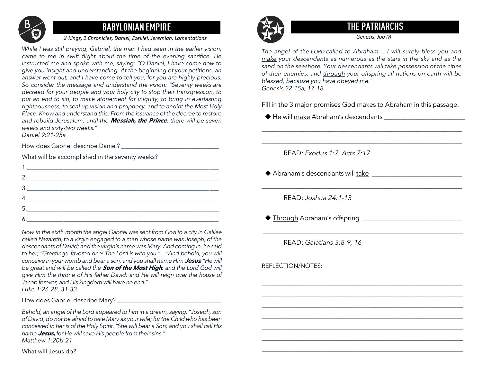

# **BABYLONIAN EMPIRE**

### *2 Kings, 2 Chronicles, Daniel, Ezekiel, Jeremiah, Lamentations*

*While I was still praying, Gabriel, the man I had seen in the earlier vision, came to me in swift flight about the time of the evening sacrifice. He instructed me and spoke with me, saying: "O Daniel, I have come now to give you insight and understanding. At the beginning of your petitions, an answer went out, and I have come to tell you, for you are highly precious. So consider the message and understand the vision: "Seventy weeks are decreed for your people and your holy city to stop their transgression, to put an end to sin, to make atonement for iniquity, to bring in everlasting righteousness, to seal up vision and prophecy, and to anoint the Most Holy Place. Know and understand this: From the issuance of the decree to restore and rebuild Jerusalem, until the* **Messiah, the Prince***, there will be seven weeks and sixty-two weeks."*

*Daniel 9:21-25a*

How does Gabriel describe Daniel?

What will be accomplished in the seventy weeks?

| 2.                                                                            |  |
|-------------------------------------------------------------------------------|--|
| $\begin{array}{c} 3. \qquad \qquad \textcolor{red}{\textbf{2.2}} \end{array}$ |  |
| 4.                                                                            |  |
| 5.                                                                            |  |
|                                                                               |  |

*Now in the sixth month the angel Gabriel was sent from God to a city in Galilee called Nazareth, to a virgin engaged to a man whose name was Joseph, of the descendants of David; and the virgin's name was Mary. And coming in, he said to her, "Greetings, favored one! The Lord is with you."…"And behold, you will conceive in your womb and bear a son, and you shall name Him* **Jesus***. "He will be great and will be called the* **Son of the Most High***; and the Lord God will give Him the throne of His father David; and He will reign over the house of Jacob forever, and His kingdom will have no end." Luke 1:26-28, 31-33*

How does Gabriel describe Mary? \_\_\_\_\_\_\_\_\_\_\_\_\_\_\_\_\_\_\_\_\_\_\_\_\_\_\_\_\_\_\_\_\_\_

*Behold, an angel of the Lord appeared to him in a dream, saying, "Joseph, son of David, do not be afraid to take Mary as your wife; for the Child who has been conceived in her is of the Holy Spirit."She will bear a Son; and you shall call His name* **Jesus,** *for He will save His people from their sins." Matthew 1:20b-21*

What will Jesus do? \_\_\_\_\_\_\_\_\_\_\_\_\_\_\_\_\_\_\_\_\_\_\_\_\_\_\_\_\_\_\_\_\_\_\_\_\_\_\_\_\_\_\_\_\_\_\_



# **THE PATRIARCHS**

*Genesis, Job (?)*

*The angel of the LORD called to Abraham… I will surely bless you and make your descendants as numerous as the stars in the sky and as the sand on the seashore. Your descendants will take possession of the cities of their enemies, and through your offspring all nations on earth will be blessed, because you have obeyed me." Genesis 22:15a, 17-18*

Fill in the 3 major promises God makes to Abraham in this passage.

\_\_\_\_\_\_\_\_\_\_\_\_\_\_\_\_\_\_\_\_\_\_\_\_\_\_\_\_\_\_\_\_\_\_\_\_\_\_\_\_\_\_\_\_\_\_\_\_\_\_\_\_\_\_\_\_\_\_\_\_\_\_

\_\_\_\_\_\_\_\_\_\_\_\_\_\_\_\_\_\_\_\_\_\_\_\_\_\_\_\_\_\_\_\_\_\_\_\_\_\_\_\_\_\_\_\_\_\_\_\_\_\_\_\_\_\_\_\_\_\_\_\_\_\_

\_\_\_\_\_\_\_\_\_\_\_\_\_\_\_\_\_\_\_\_\_\_\_\_\_\_\_\_\_\_\_\_\_\_\_\_\_\_\_\_\_\_\_\_\_\_\_\_\_\_\_\_\_\_\_\_\_\_\_\_\_\_

\_\_\_\_\_\_\_\_\_\_\_\_\_\_\_\_\_\_\_\_\_\_\_\_\_\_\_\_\_\_\_\_\_\_\_\_\_\_\_\_\_\_\_\_\_\_\_\_\_\_\_\_\_\_\_\_\_\_\_\_\_\_

\_\_\_\_\_\_\_\_\_\_\_\_\_\_\_\_\_\_\_\_\_\_\_\_\_\_\_\_\_\_\_\_\_\_\_\_\_\_\_\_\_\_\_\_\_\_\_\_\_\_\_\_\_\_\_\_\_\_\_\_\_\_\_\_\_\_ \_\_\_\_\_\_\_\_\_\_\_\_\_\_\_\_\_\_\_\_\_\_\_\_\_\_\_\_\_\_\_\_\_\_\_\_\_\_\_\_\_\_\_\_\_\_\_\_\_\_\_\_\_\_\_\_\_\_\_\_\_\_\_\_\_\_\_\_\_ \_\_\_\_\_\_\_\_\_\_\_\_\_\_\_\_\_\_\_\_\_\_\_\_\_\_\_\_\_\_\_\_\_\_\_\_\_\_\_\_\_\_\_\_\_\_\_\_\_\_\_\_\_\_\_\_\_\_\_\_\_\_\_\_\_\_\_\_\_ \_\_\_\_\_\_\_\_\_\_\_\_\_\_\_\_\_\_\_\_\_\_\_\_\_\_\_\_\_\_\_\_\_\_\_\_\_\_\_\_\_\_\_\_\_\_\_\_\_\_\_\_\_\_\_\_\_\_\_\_\_\_\_\_\_\_\_\_\_

\_\_\_\_\_\_\_\_\_\_\_\_\_\_\_\_\_\_\_\_\_\_\_\_\_\_\_\_\_\_\_\_\_\_\_\_\_\_\_\_\_\_\_\_\_\_\_\_\_\_\_\_\_\_\_\_\_\_\_\_\_\_\_\_\_\_\_\_\_ \_\_\_\_\_\_\_\_\_\_\_\_\_\_\_\_\_\_\_\_\_\_\_\_\_\_\_\_\_\_\_\_\_\_\_\_\_\_\_\_\_\_\_\_\_\_\_\_\_\_\_\_\_\_\_\_\_\_\_\_\_\_\_\_\_\_\_\_\_

◆ He will make Abraham's descendants \_\_\_\_\_\_\_\_\_\_\_\_\_\_\_\_\_\_\_\_\_\_\_\_\_

READ: *Exodus 1:7, Acts 7:17*

 $\blacklozenge$  Abraham's descendants will  $\frac{1}{2}$  take  $\frac{1}{2}$  and  $\frac{1}{2}$  and  $\frac{1}{2}$  and  $\frac{1}{2}$  and  $\frac{1}{2}$  and  $\frac{1}{2}$  and  $\frac{1}{2}$  and  $\frac{1}{2}$  and  $\frac{1}{2}$  and  $\frac{1}{2}$  and  $\frac{1}{2}$  and  $\frac{1}{2}$  and  $\frac$ 

READ: *Joshua 24:1-13*

◆ Through Abraham's offspring \_\_\_\_\_\_\_\_\_\_\_\_\_\_\_\_\_\_\_\_\_\_\_\_\_\_\_\_\_\_\_

READ: *Galatians 3:8-9, 16*

REFLECTION/NOTES: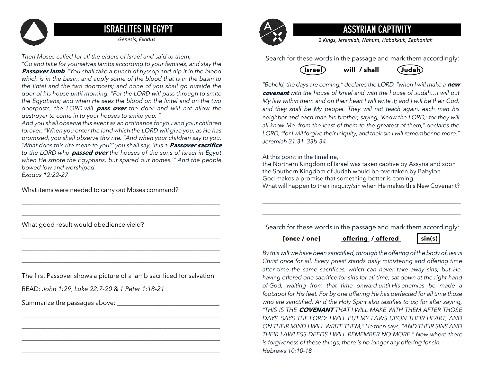

# **ISRAELITES IN EGYPT**

*Then Moses called for all the elders of Israel and said to them,* 

*"Go and take for yourselves lambs according to your families, and slay the*  **Passover lamb***. "You shall take a bunch of hyssop and dip it in the blood which is in the basin, and apply some of the blood that is in the basin to the lintel and the two doorposts; and none of you shall go outside the door of his house until morning. "For the LORD will pass through to smite the Egyptians; and when He sees the blood on the lintel and on the two doorposts, the LORD will* **pass over** *the door and will not allow the destroyer to come in to your houses to smite you. "*

*And you shall observe this event as an ordinance for you and your children forever. "When you enter the land which the LORD will give you, as He has promised, you shall observe this rite. "And when your children say to you, 'What does this rite mean to you?' you shall say, 'It is a Passover sacrifice to the LORD who* **passed over** *the houses of the sons of Israel in Egypt when He smote the Egyptians, but spared our homes.'" And the people bowed low and worshiped. Exodus 12:22-27*

\_\_\_\_\_\_\_\_\_\_\_\_\_\_\_\_\_\_\_\_\_\_\_\_\_\_\_\_\_\_\_\_\_\_\_\_\_\_\_\_\_\_\_\_\_\_\_\_\_\_\_\_\_\_\_\_\_\_\_\_\_\_ \_\_\_\_\_\_\_\_\_\_\_\_\_\_\_\_\_\_\_\_\_\_\_\_\_\_\_\_\_\_\_\_\_\_\_\_\_\_\_\_\_\_\_\_\_\_\_\_\_\_\_\_\_\_\_\_\_\_\_\_\_\_

\_\_\_\_\_\_\_\_\_\_\_\_\_\_\_\_\_\_\_\_\_\_\_\_\_\_\_\_\_\_\_\_\_\_\_\_\_\_\_\_\_\_\_\_\_\_\_\_\_\_\_\_\_\_\_\_\_\_\_\_\_\_ \_\_\_\_\_\_\_\_\_\_\_\_\_\_\_\_\_\_\_\_\_\_\_\_\_\_\_\_\_\_\_\_\_\_\_\_\_\_\_\_\_\_\_\_\_\_\_\_\_\_\_\_\_\_\_\_\_\_\_\_\_\_ \_\_\_\_\_\_\_\_\_\_\_\_\_\_\_\_\_\_\_\_\_\_\_\_\_\_\_\_\_\_\_\_\_\_\_\_\_\_\_\_\_\_\_\_\_\_\_\_\_\_\_\_\_\_\_\_\_\_\_\_\_\_

What items were needed to carry out Moses command?

What good result would obedience yield?

The first Passover shows a picture of a lamb sacrificed for salvation.

\_\_\_\_\_\_\_\_\_\_\_\_\_\_\_\_\_\_\_\_\_\_\_\_\_\_\_\_\_\_\_\_\_\_\_\_\_\_\_\_\_\_\_\_\_\_\_\_\_\_\_\_\_\_\_\_\_\_\_\_\_\_ \_\_\_\_\_\_\_\_\_\_\_\_\_\_\_\_\_\_\_\_\_\_\_\_\_\_\_\_\_\_\_\_\_\_\_\_\_\_\_\_\_\_\_\_\_\_\_\_\_\_\_\_\_\_\_\_\_\_\_\_\_\_ \_\_\_\_\_\_\_\_\_\_\_\_\_\_\_\_\_\_\_\_\_\_\_\_\_\_\_\_\_\_\_\_\_\_\_\_\_\_\_\_\_\_\_\_\_\_\_\_\_\_\_\_\_\_\_\_\_\_\_\_\_\_ \_\_\_\_\_\_\_\_\_\_\_\_\_\_\_\_\_\_\_\_\_\_\_\_\_\_\_\_\_\_\_\_\_\_\_\_\_\_\_\_\_\_\_\_\_\_\_\_\_\_\_\_\_\_\_\_\_\_\_\_\_\_

READ: *John 1:29*, *Luke 22:7-20* & *1 Peter 1:18-21*

Summarize the passages above: \_\_\_\_\_\_\_\_\_\_\_\_\_\_\_\_\_\_\_\_\_\_\_\_\_\_\_\_\_\_\_\_



# **ASSYRIAN CAPTIVITY**

*Genesis, Exodus 2 Kings, Jeremiah, Nahum, Habakkuk, Zephaniah*

Search for these words in the passage and mark them accordingly:



*"Behold, the days are coming," declares the LORD, "when I will make a* **new covenant** *with the house of Israel and with the house of Judah…I will put My law within them and on their heart I will write it; and I will be their God, and they shall be My people. They will not teach again, each man his neighbor and each man his brother, saying, 'Know the LORD,' for they will all know Me, from the least of them to the greatest of them," declares the LORD, "for I will forgive their iniquity, and their sin I will remember no more." Jeremiah 31:31, 33b-34*

At this point in the timeline,

the Northern Kingdom of Israel was taken captive by Assyria and soon the Southern Kingdom of Judah would be overtaken by Babylon. God makes a promise that something better is coming. What will happen to their iniquity/sin when He makes this New Covenant?

Search for these words in the passage and mark them accordingly:

\_\_\_\_\_\_\_\_\_\_\_\_\_\_\_\_\_\_\_\_\_\_\_\_\_\_\_\_\_\_\_\_\_\_\_\_\_\_\_\_\_\_\_\_\_\_\_\_\_\_\_\_\_\_\_\_\_\_\_\_\_\_ \_\_\_\_\_\_\_\_\_\_\_\_\_\_\_\_\_\_\_\_\_\_\_\_\_\_\_\_\_\_\_\_\_\_\_\_\_\_\_\_\_\_\_\_\_\_\_\_\_\_\_\_\_\_\_\_\_\_\_\_\_\_

 **[once / one] offering / offered sin(s)** 

*By this will we have been sanctified, through the offering of the body of Jesus Christ once for all. Every priest stands daily ministering and offering time after time the same sacrifices, which can never take away sins; but He, having offered one sacrifice for sins for all time, sat down at the right hand of God, waiting from that time onward until His enemies be made a footstool for His feet. For by one offering He has perfected for all time those who are sanctified. And the Holy Spirit also testifies to us; for after saying, "THIS IS THE* **COVENANT** *THAT I WILL MAKE WITH THEM AFTER THOSE DAYS, SAYS THE LORD: I WILL PUT MY LAWS UPON THEIR HEART, AND ON THEIR MIND I WILL WRITE THEM," He then says, "AND THEIR SINS AND THEIR LAWLESS DEEDS I WILL REMEMBER NO MORE." Now where there is forgiveness of these things, there is no longer any offering for sin. Hebrews 10:10-18*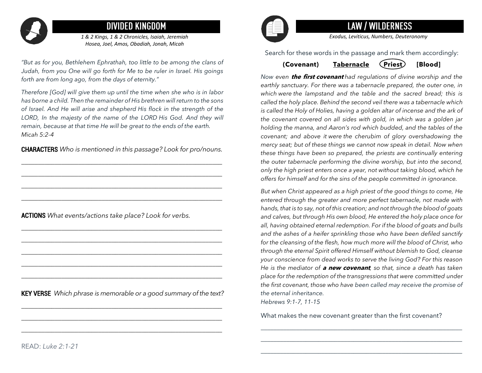

# **DIVIDED KINGDOM**

*1 & 2 Kings, 1 & 2 Chronicles, Isaiah, Jeremiah Hosea, Joel, Amos, Obadiah, Jonah, Micah*

*"But as for you, Bethlehem Ephrathah, too little to be among the clans of Judah, from you One will go forth for Me to be ruler in Israel. His goings forth are from long ago, from the days of eternity."*

*Therefore [God] will give them up until the time when she who is in labor has borne a child. Then the remainder of His brethren will return to the sons of Israel. And He will arise and shepherd His flock in the strength of the LORD, In the majesty of the name of the LORD His God. And they will remain, because at that time He will be great to the ends of the earth. Micah 5:2-4*

CHARACTERS *Who is mentioned in this passage? Look for pro/nouns.*

*\_\_\_\_\_\_\_\_\_\_\_\_\_\_\_\_\_\_\_\_\_\_\_\_\_\_\_\_\_\_\_\_\_\_\_\_\_\_\_\_\_\_\_\_\_\_\_\_\_\_\_\_\_\_\_\_\_\_\_\_ \_\_\_\_\_\_\_\_\_\_\_\_\_\_\_\_\_\_\_\_\_\_\_\_\_\_\_\_\_\_\_\_\_\_\_\_\_\_\_\_\_\_\_\_\_\_\_\_\_\_\_\_\_\_\_\_\_\_\_\_ \_\_\_\_\_\_\_\_\_\_\_\_\_\_\_\_\_\_\_\_\_\_\_\_\_\_\_\_\_\_\_\_\_\_\_\_\_\_\_\_\_\_\_\_\_\_\_\_\_\_\_\_\_\_\_\_\_\_\_\_ \_\_\_\_\_\_\_\_\_\_\_\_\_\_\_\_\_\_\_\_\_\_\_\_\_\_\_\_\_\_\_\_\_\_\_\_\_\_\_\_\_\_\_\_\_\_\_\_\_\_\_\_\_\_\_\_\_\_\_\_* 

*\_\_\_\_\_\_\_\_\_\_\_\_\_\_\_\_\_\_\_\_\_\_\_\_\_\_\_\_\_\_\_\_\_\_\_\_\_\_\_\_\_\_\_\_\_\_\_\_\_\_\_\_\_\_\_\_\_\_\_\_ \_\_\_\_\_\_\_\_\_\_\_\_\_\_\_\_\_\_\_\_\_\_\_\_\_\_\_\_\_\_\_\_\_\_\_\_\_\_\_\_\_\_\_\_\_\_\_\_\_\_\_\_\_\_\_\_\_\_\_\_ \_\_\_\_\_\_\_\_\_\_\_\_\_\_\_\_\_\_\_\_\_\_\_\_\_\_\_\_\_\_\_\_\_\_\_\_\_\_\_\_\_\_\_\_\_\_\_\_\_\_\_\_\_\_\_\_\_\_\_\_ \_\_\_\_\_\_\_\_\_\_\_\_\_\_\_\_\_\_\_\_\_\_\_\_\_\_\_\_\_\_\_\_\_\_\_\_\_\_\_\_\_\_\_\_\_\_\_\_\_\_\_\_\_\_\_\_\_\_\_\_ \_\_\_\_\_\_\_\_\_\_\_\_\_\_\_\_\_\_\_\_\_\_\_\_\_\_\_\_\_\_\_\_\_\_\_\_\_\_\_\_\_\_\_\_\_\_\_\_\_\_\_\_\_\_\_\_\_\_\_\_* 

ACTIONS *What events/actions take place? Look for verbs.* 

KEY VERSE *Which phrase is memorable or a good summary of the text?*

*\_\_\_\_\_\_\_\_\_\_\_\_\_\_\_\_\_\_\_\_\_\_\_\_\_\_\_\_\_\_\_\_\_\_\_\_\_\_\_\_\_\_\_\_\_\_\_\_\_\_\_\_\_\_\_\_\_\_\_\_ \_\_\_\_\_\_\_\_\_\_\_\_\_\_\_\_\_\_\_\_\_\_\_\_\_\_\_\_\_\_\_\_\_\_\_\_\_\_\_\_\_\_\_\_\_\_\_\_\_\_\_\_\_\_\_\_\_\_\_\_ \_\_\_\_\_\_\_\_\_\_\_\_\_\_\_\_\_\_\_\_\_\_\_\_\_\_\_\_\_\_\_\_\_\_\_\_\_\_\_\_\_\_\_\_\_\_\_\_\_\_\_\_\_\_\_\_\_\_\_\_*



# **LAW / WILDERNESS**

*Exodus, Leviticus, Numbers, Deuteronomy*

Search for these words in the passage and mark them accordingly:

### (Covenant) Tabernacle (Priest) [Blood]

*Now even* **the first covenant** *had regulations of divine worship and the*  earthly sanctuary. For there was a tabernacle prepared, the outer one, in *which were the lampstand and the table and the sacred bread; this is called the holy place. Behind the second veil there was a tabernacle which is called the Holy of Holies, having a golden altar of incense and the ark of the covenant covered on all sides with gold, in which was a golden jar holding the manna, and Aaron's rod which budded, and the tables of the covenant; and above it were the cherubim of glory overshadowing the mercy seat; but of these things we cannot now speak in detail. Now when these things have been so prepared, the priests are continually entering the outer tabernacle performing the divine worship, but into the second, only the high priest enters once a year, not without taking blood, which he offers for himself and for the sins of the people committed in ignorance.* 

*But when Christ appeared as a high priest of the good things to come, He entered through the greater and more perfect tabernacle, not made with hands, that is to say, not of this creation; and not through the blood of goats and calves, but through His own blood, He entered the holy place once for all, having obtained eternal redemption. For if the blood of goats and bulls and the ashes of a heifer sprinkling those who have been defiled sanctify for the cleansing of the flesh, how much more will the blood of Christ, who through the eternal Spirit offered Himself without blemish to God, cleanse your conscience from dead works to serve the living God? For this reason He is the mediator of* **a new covenant***, so that, since a death has taken place for the redemption of the transgressions that were committed under the first covenant, those who have been called may receive the promise of the eternal inheritance. Hebrews 9:1-7, 11-15*

What makes the new covenant greater than the first covenant?

\_\_\_\_\_\_\_\_\_\_\_\_\_\_\_\_\_\_\_\_\_\_\_\_\_\_\_\_\_\_\_\_\_\_\_\_\_\_\_\_\_\_\_\_\_\_\_\_\_\_\_\_\_\_\_\_\_\_\_\_\_\_\_ \_\_\_\_\_\_\_\_\_\_\_\_\_\_\_\_\_\_\_\_\_\_\_\_\_\_\_\_\_\_\_\_\_\_\_\_\_\_\_\_\_\_\_\_\_\_\_\_\_\_\_\_\_\_\_\_\_\_\_\_\_\_\_ \_\_\_\_\_\_\_\_\_\_\_\_\_\_\_\_\_\_\_\_\_\_\_\_\_\_\_\_\_\_\_\_\_\_\_\_\_\_\_\_\_\_\_\_\_\_\_\_\_\_\_\_\_\_\_\_\_\_\_\_\_\_\_

READ: *Luke 2:1-21*